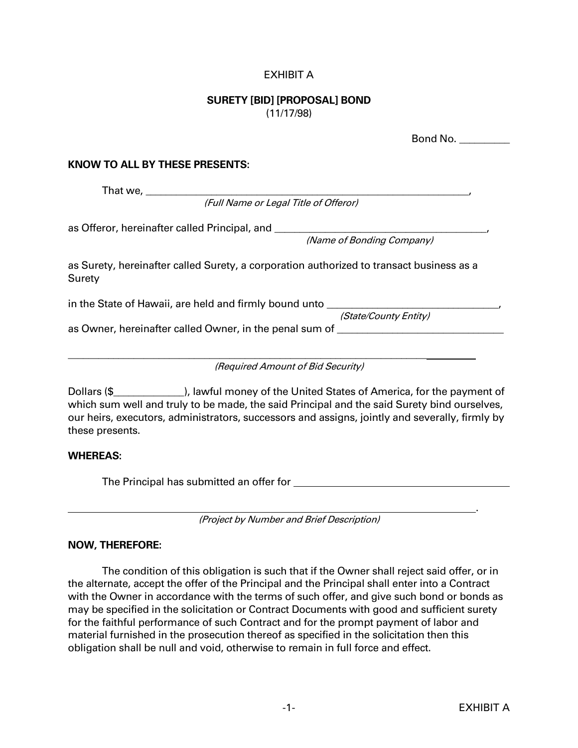## EXHIBIT A

## **SURETY [BID] [PROPOSAL] BOND** (11/17/98)

|                                                                                                    | Bond No. |
|----------------------------------------------------------------------------------------------------|----------|
| <b>KNOW TO ALL BY THESE PRESENTS:</b>                                                              |          |
|                                                                                                    |          |
| (Full Name or Legal Title of Offeror)                                                              |          |
| as Offeror, hereinafter called Principal, and __________________________________                   |          |
| (Name of Bonding Company)                                                                          |          |
| as Surety, hereinafter called Surety, a corporation authorized to transact business as a<br>Surety |          |
| in the State of Hawaii, are held and firmly bound unto _________________________                   |          |
| (State/County Entity)                                                                              |          |
| as Owner, hereinafter called Owner, in the penal sum of ________________________                   |          |
|                                                                                                    |          |
| (Required Amount of Bid Security)                                                                  |          |
|                                                                                                    |          |

Dollars (\$\_\_\_\_\_\_\_\_\_\_\_\_\_\_), lawful money of the United States of America, for the payment of which sum well and truly to be made, the said Principal and the said Surety bind ourselves, our heirs, executors, administrators, successors and assigns, jointly and severally, firmly by these presents.

## **WHEREAS:**

The Principal has submitted an offer for

(Project by Number and Brief Description)

## **NOW, THEREFORE:**

The condition of this obligation is such that if the Owner shall reject said offer, or in the alternate, accept the offer of the Principal and the Principal shall enter into a Contract with the Owner in accordance with the terms of such offer, and give such bond or bonds as may be specified in the solicitation or Contract Documents with good and sufficient surety for the faithful performance of such Contract and for the prompt payment of labor and material furnished in the prosecution thereof as specified in the solicitation then this obligation shall be null and void, otherwise to remain in full force and effect.

.